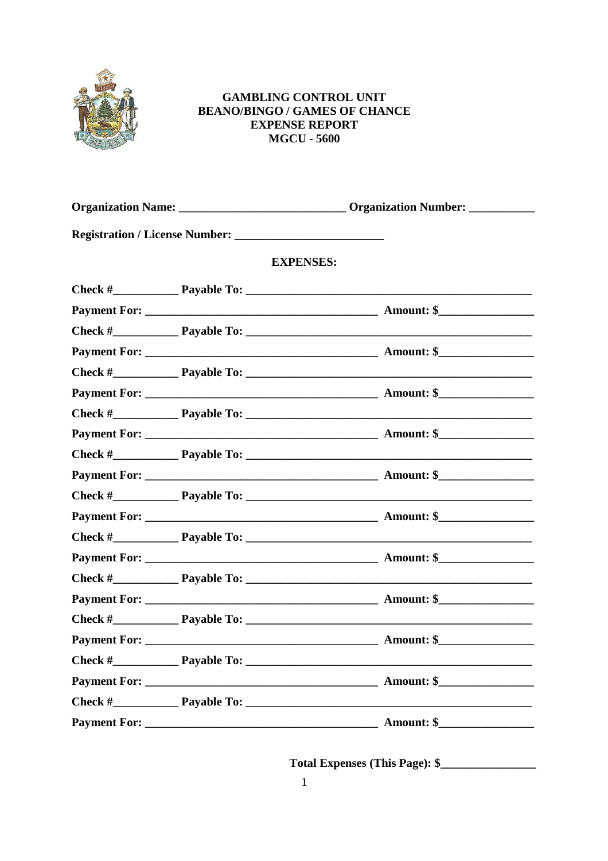

## **GAMBLING CONTROL UNIT BEANO/BINGO / GAMES OF CHANCE EXPENSE REPORT MGCU - 5600**

|                  | Organization Name: __________________________________Organization Number: _____________ |
|------------------|-----------------------------------------------------------------------------------------|
|                  |                                                                                         |
| <b>EXPENSES:</b> |                                                                                         |
|                  |                                                                                         |
|                  |                                                                                         |
|                  |                                                                                         |
|                  |                                                                                         |
|                  |                                                                                         |
|                  |                                                                                         |
|                  | Check # Payable To:                                                                     |
|                  |                                                                                         |
|                  |                                                                                         |
|                  |                                                                                         |
|                  |                                                                                         |
|                  |                                                                                         |
|                  |                                                                                         |
|                  |                                                                                         |
|                  |                                                                                         |
|                  |                                                                                         |
|                  |                                                                                         |
|                  |                                                                                         |
|                  |                                                                                         |
|                  |                                                                                         |
|                  |                                                                                         |
|                  |                                                                                         |

Total Expenses (This Page): \$